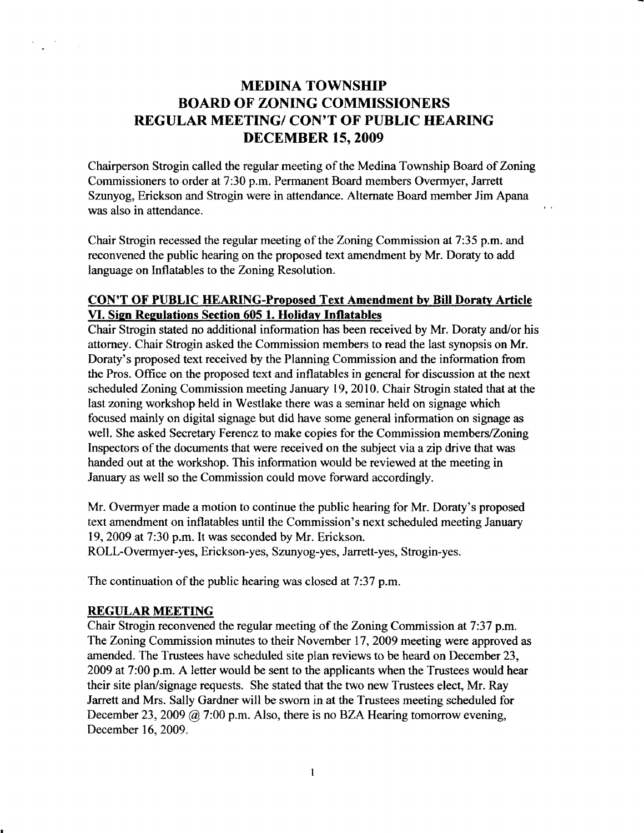# MEDINA TOWNSHIP BOARD OF ZONING COMMISSIONERS REGULAR MEETING/ CON'T OF PUBLIC HEARING DECEMBER 15,2OO9

Chairperson Strogin called the regular meeting of the Medina Township Board of Zoning Commissioners to order at 7:30 p.m. Permanent Board members Overmyer, Jarreff Szunyog, Erickson and Strogin were in attendance. Altemate Board member Jim Apana was also in attendance.

 $\mathbf{r}$ 

Chair Strogin recessed the regular meeting of the Zoning Commission at 7:35 p.m. and reconvened the public hearing on the proposed text amendment by Mr. Doraty to add language on Inflatables to the Zoning Resolution.

## CON'T OF PUBLIC HEARING-Proposed Text Amendment by Bill Doraty Article VI. Sign Regulations Section 605 1. Holiday Inflatables

Chair Strogin stated no additional information has been received by Mr. Doraty and/or his attorney. Chair Strogin asked the Commission members to read the last synopsis on Mr. Doraty's proposed text received by the Planning Commission and the information from the Pros. Ofhce on the proposed text and inflatables in general for discussion at the next scheduled Zoning Commission meeting January 19, 2010. Chair Strogin stated that at the last zoning workshop held in Westlake there was a seminar held on signage which focused mainly on digital signage but did have some general information on signage as well. She asked Secretary Ferencz to make copies for the Commission members/Zoning Inspectors of the documents that were received on the subject via azip drive that was handed out at the workshop. This information would be reviewed at the meeting in January as well so the Commission could move forward accordingly.

Mr. Overmyer made a motion to continue the public hearing for Mr. Doraty's proposed text amendment on inflatables until the Commission's next scheduled meeting January 19, 2009 at 7:30 p.m. It was seconded by Mr. Erickson.

ROLL-Overmyer-yes, Erickson-yes, Szunyog-yes, Jarrett-yes, Strogin-yes.

The continuation of the public hearing was closed at 7:37 p.m.

#### REGULAR MEETING

Chair Strogin reconvened the regular meeting of the Zoning Commission at 7:37 p.m. The Zoning Commission minutes to their November 17,2009 meeting were approved as amended. The Trustees have scheduled site plan reviews to be heard on December 23, 2009 at 7:00 p.m. A letter would be sent to the applicants when the Trustees would hear their site plan/signage requests. She stated that the two new Trustees elect, Mr. Ray Jarrett and Mrs. Sally Gardner will be sworn in at the Trustees meeting scheduled for December 23, 2009  $\omega$  7:00 p.m. Also, there is no BZA Hearing tomorrow evening, December 16,2009.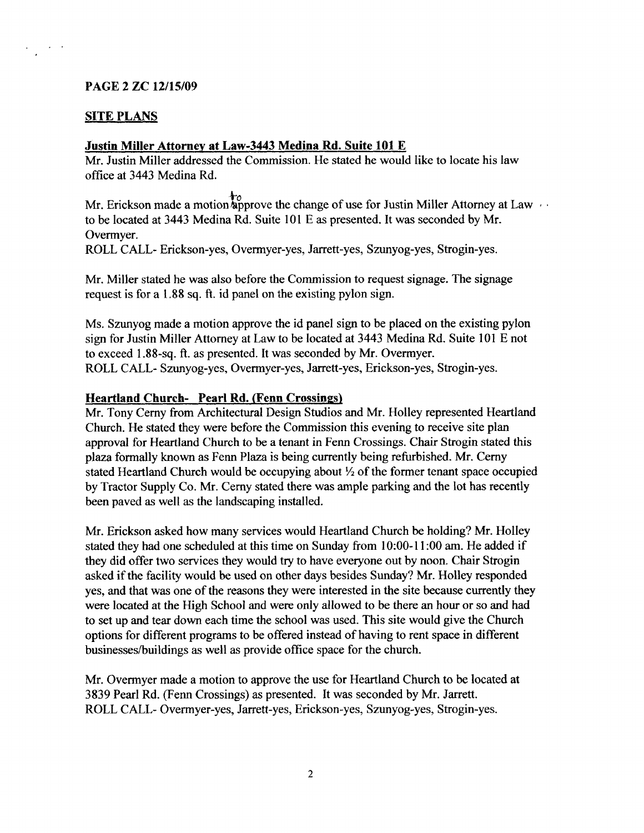## PAGE 2 ZC 12/15/09

# **SITE PLANS**

### Justin Miller Attornev at Law-3443 Medina Rd. Suite 101 E

Mr. Justin Miller addressed the Commission. He stated he would like to locate his law office at3443 Medina Rd.

Mr. Erickson made a motion supprove the change of use for Justin Miller Attorney at Law to be located at 3443 Medina Rd. Suite 101 E as presented. It was seconded by Mr. Overmyer.

ROLL CALL- Erickson-yes, Overmyer-yes, Jarrett-yes, Szunyog-yes, Strogin-yes.

Mr. Miller stated he was also before the Commission to request signage. The signage request is for a 1,88 sq. ft. id panel on the existing pylon sign.

Ms. Szunyog made a motion approve the id panel sign to be placed on the existing pylon sign for Justin Miller Attorney at Law to be located at 3443 Medina Rd. Suite 101 E not to exceed 1.88-sq. ft. as presented. It was seconded by Mr. Overmyer. ROLL CALL- Szunyog-yes, Overmyer-yes, Jarrett-yes, Erickson-yes, Strogin-yes.

### Heartland Church- Pearl Rd. (Fenn Crossings)

Mr. Tony Cerny from Architectural Design Studios and Mr. Holley represented Heartland Church. He stated they were before the Commission this evening to receive site plan approval for Heartland Church to be a tenant in Fenn Crossings. Chair Strogin stated this plaza formally known as Fenn Plaza is being currently being refurbished. Mr. Cemy stated Heartland Church would be occupying about  $\frac{1}{2}$  of the former tenant space occupied by Tractor Supply Co. Mr. Cerny stated there was ample parking and the lot has recently been paved as well as the landscaping installed.

Mr. Erickson asked how many services would Heartland Church be holding? Mr. Holley stated they had one scheduled at this time on Sunday from l0:00-l l:00 am. He added if they did offer two services they would try to have everyone out by noon. Chair Strogin asked if the facility would be used on other days besides Sunday? Mr. Holley responded yes, and that was one of the reasons they were interested in the site because currently they were located at the High School and were only allowed to be there an hour or so and had to set up and tear down each time the school was used. This site would give the Church options for different programs to be offered instead of having to rent space in different businesses/buildings as well as provide office space for the church.

Mr. Overmyer made a motion to approve the use for Heartland Church to be located at 3839 Pearl Rd. (Fenn Crossings) as presented. It was seconded by Mr. Jarrett. ROLL CALL- Overmyer-yes, Jarrett-yes, Erickson-yes, Szunyog-yes, Strogin-yes.